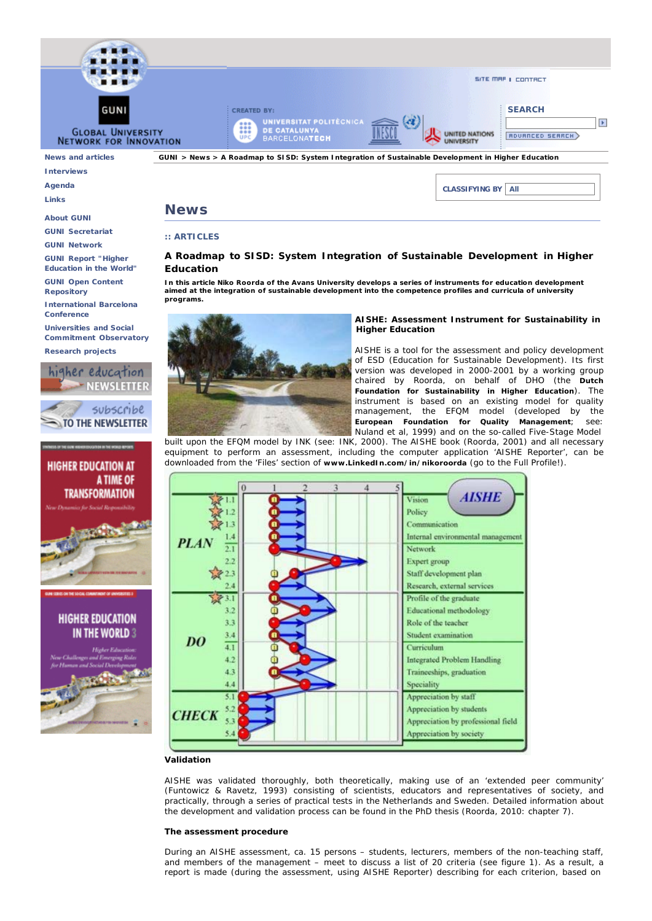

**Links**

#### **About GUNI**

**GUNI Secretariat GUNI Network**

**GUNI Report "Higher Education in the World"**

**GUNI Open Content**

**Repository**

**International Barcelona Conference**

**Universities and Social Commitment Observatory**

**Research projects**







# **News**

## **:: ARTICLES**

# **A Roadmap to SISD: System Integration of Sustainable Development in Higher Education**

**In this article Niko Roorda of the Avans University develops a series of instruments for education development aimed at the integration of sustainable development into the competence profiles and curricula of university programs.**



## **AISHE: Assessment Instrument for Sustainability in Higher Education**

AISHE is a tool for the assessment and policy development of ESD (*Education for Sustainable Development*). Its first version was developed in 2000-2001 by a working group chaired by Roorda, on behalf of DHO (the **Dutch Foundation for Sustainability in Higher Education**). The instrument is based on an existing model for quality management, the EFQM model (developed by the **European Foundation for Quality Management**; see: Nuland et al, 1999) and on the so-called Five-Stage Model

built upon the EFQM model by INK (see: INK, 2000). The AISHE book (Roorda, 2001) and all necessary equipment to perform an assessment, including the computer application '*AISHE Reporter'*, can be downloaded from the 'Files' section of **www.LinkedIn.com/in/nikoroorda** (go to the Full Profile!).



## **Validation**

AISHE was validated thoroughly, both theoretically, making use of an 'extended peer community' (Funtowicz & Ravetz, 1993) consisting of scientists, educators and representatives of society, and practically, through a series of practical tests in the Netherlands and Sweden. Detailed information about the development and validation process can be found in the PhD thesis (Roorda, 2010: chapter 7).

#### **The assessment procedure**

During an AISHE assessment, ca. 15 persons – students, lecturers, members of the non-teaching staff, and members of the management – meet to discuss a list of 20 criteria (see figure 1). As a result, a report is made (during the assessment, using *AISHE Reporter*) describing for each criterion, based on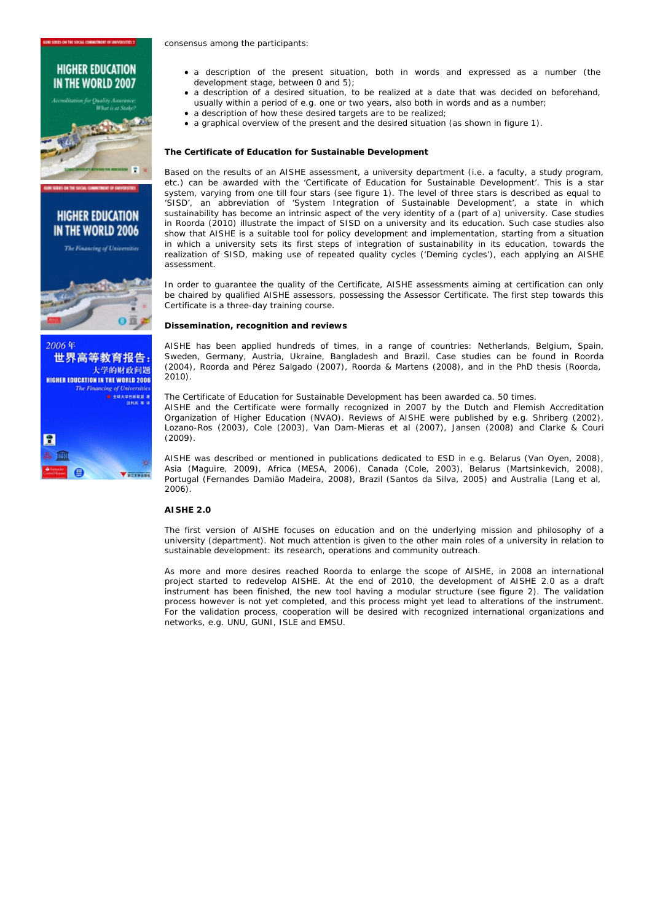



世界高等教育报告 大学的财政问题 **HIGHER EDUCATION IN THE WORLD 2006** The Financing of Univers Е

**Williams** 

consensus among the participants:

- a description of the *present situation*, both in words and expressed as a number (the development stage, between 0 and 5);
- a description of a *desired situation*, to be realized at a date that was decided on beforehand, usually within a period of e.g. one or two years, also both in words and as a number;
- a description of how these desired targets are to be realized;
- a graphical overview of the present and the desired situation (as shown in figure 1).

## **The Certificate of Education for Sustainable Development**

Based on the results of an AISHE assessment, a university department (i.e. a faculty, a study program, etc.) can be awarded with the 'Certificate of Education for Sustainable Development'. This is a star system, varying from one till four stars (see figure 1). The level of three stars is described as equal to '*SISD*', an abbreviation of '*System Integration of Sustainable Development'*, a state in which sustainability has become an intrinsic aspect of the very identity of a (part of a) university. Case studies in Roorda (2010) illustrate the impact of SISD on a university and its education. Such case studies also show that AISHE is a suitable tool for policy development and implementation, starting from a situation in which a university sets its first steps of integration of sustainability in its education, towards the realization of SISD, making use of repeated quality cycles ('Deming cycles'), each applying an AISHE assessment.

In order to guarantee the quality of the Certificate, AISHE assessments aiming at certification can only be chaired by qualified AISHE assessors, possessing the Assessor Certificate. The first step towards this Certificate is a three-day training course.

#### **Dissemination, recognition and reviews**

AISHE has been applied hundreds of times, in a range of countries: Netherlands, Belgium, Spain, Sweden, Germany, Austria, Ukraine, Bangladesh and Brazil. Case studies can be found in Roorda (2004), Roorda and Pérez Salgado (2007), Roorda & Martens (2008), and in the PhD thesis (Roorda, 2010).

The Certificate of Education for Sustainable Development has been awarded ca. 50 times.

AISHE and the Certificate were formally recognized in 2007 by the Dutch and Flemish Accreditation Organization of Higher Education (NVAO). Reviews of AISHE were published by e.g. Shriberg (2002), Lozano-Ros (2003), Cole (2003), Van Dam-Mieras et al (2007), Jansen (2008) and Clarke & Couri (2009).

AISHE was described or mentioned in publications dedicated to ESD in e.g. Belarus (Van Oyen, 2008), Asia (Maguire, 2009), Africa (MESA, 2006), Canada (Cole, 2003), Belarus (Martsinkevich, 2008), Portugal (Fernandes Damião Madeira, 2008), Brazil (Santos da Silva, 2005) and Australia (Lang et al, 2006).

## **AISHE 2.0**

The first version of AISHE focuses on education and on the underlying mission and philosophy of a university (department). Not much attention is given to the other main roles of a university in relation to sustainable development: its research, operations and community outreach.

As more and more desires reached Roorda to enlarge the scope of AISHE, in 2008 an international project started to redevelop AISHE. At the end of 2010, the development of AISHE 2.0 as a draft instrument has been finished, the new tool having a modular structure (see figure 2). The validation process however is not yet completed, and this process might yet lead to alterations of the instrument. For the validation process, cooperation will be desired with recognized international organizations and networks, e.g. UNU, GUNI, ISLE and EMSU.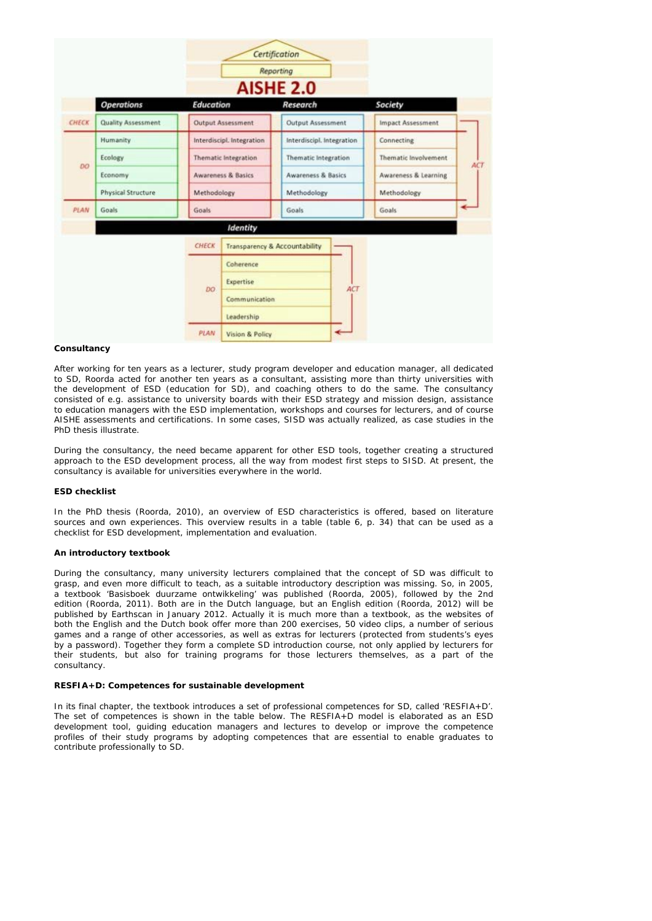|       |                           | Certification<br><b>Reporting</b><br><b>AISHE 2.0</b> |                                                 |                                                                      |   |                          |            |
|-------|---------------------------|-------------------------------------------------------|-------------------------------------------------|----------------------------------------------------------------------|---|--------------------------|------------|
|       | <b>Operations</b>         | <b>Education</b>                                      |                                                 | Research                                                             |   | Society                  |            |
| CHECK | <b>Quality Assessment</b> | <b>Output Assessment</b>                              |                                                 | <b>Output Assessment</b>                                             |   | <b>Impact Assessment</b> |            |
|       | Humanity                  | Interdiscipl. Integration                             |                                                 | Interdiscipl. Integration                                            |   | Connecting               |            |
| DO    | Ecology                   | Thematic Integration<br><b>Awareness &amp; Basics</b> |                                                 | Thematic Integration<br><b>Awareness &amp; Basics</b><br>Methodology |   | Thematic Involvement     | <b>ACT</b> |
|       | Economy                   |                                                       |                                                 |                                                                      |   | Awareness & Learning     |            |
|       | Physical Structure        | Methodology                                           |                                                 |                                                                      |   | Methodology              |            |
| PLAN  | Goals                     | Goals                                                 |                                                 | Goals                                                                |   | Goals                    |            |
|       |                           |                                                       | Identity                                        |                                                                      |   |                          |            |
|       |                           | CHECK                                                 |                                                 | <b>Transparency &amp; Accountability</b>                             |   |                          |            |
|       |                           |                                                       | Coherence                                       |                                                                      |   |                          |            |
|       |                           | DO <sub>1</sub>                                       | Expertise<br>ACT<br>Communication<br>Leadership |                                                                      |   |                          |            |
|       |                           |                                                       |                                                 |                                                                      |   |                          |            |
|       |                           |                                                       |                                                 |                                                                      |   |                          |            |
|       |                           | PLAN                                                  | Vision & Policy                                 |                                                                      | ↞ |                          |            |

## **Consultancy**

After working for ten years as a lecturer, study program developer and education manager, all dedicated to SD, Roorda acted for another ten years as a consultant, assisting more than thirty universities with the development of ESD (education for SD), and coaching others to do the same. The consultancy consisted of e.g. assistance to university boards with their ESD strategy and mission design, assistance to education managers with the ESD implementation, workshops and courses for lecturers, and of course AISHE assessments and certifications. In some cases, SISD was actually realized, as case studies in the PhD thesis illustrate.

During the consultancy, the need became apparent for other ESD tools, together creating a structured approach to the ESD development process, all the way from modest first steps to SISD. At present, the consultancy is available for universities everywhere in the world.

## **ESD checklist**

In the PhD thesis (Roorda, 2010), an overview of ESD characteristics is offered, based on literature sources and own experiences. This overview results in a table (table 6, p. 34) that can be used as a checklist for ESD development, implementation and evaluation.

## **An introductory textbook**

During the consultancy, many university lecturers complained that the concept of SD was difficult to grasp, and even more difficult to teach, as a suitable introductory description was missing. So, in 2005, a textbook 'Basisboek duurzame ontwikkeling' was published (Roorda, 2005), followed by the 2nd edition (Roorda, 2011). Both are in the Dutch language, but an English edition (Roorda, 2012) will be published by Earthscan in January 2012. Actually it is much more than a textbook, as the websites of both the English and the Dutch book offer more than 200 exercises, 50 video clips, a number of serious games and a range of other accessories, as well as extras for lecturers (protected from students's eyes by a password). Together they form a complete SD introduction course, not only applied by lecturers for their students, but also for training programs for those lecturers themselves, as a part of the consultancy.

## **RESFIA+D: Competences for sustainable development**

In its final chapter, the textbook introduces a set of professional competences for SD, called 'RESFIA+D'. The set of competences is shown in the table below. The RESFIA+D model is elaborated as an ESD development tool, guiding education managers and lectures to develop or improve the competence profiles of their study programs by adopting competences that are essential to enable graduates to contribute professionally to SD.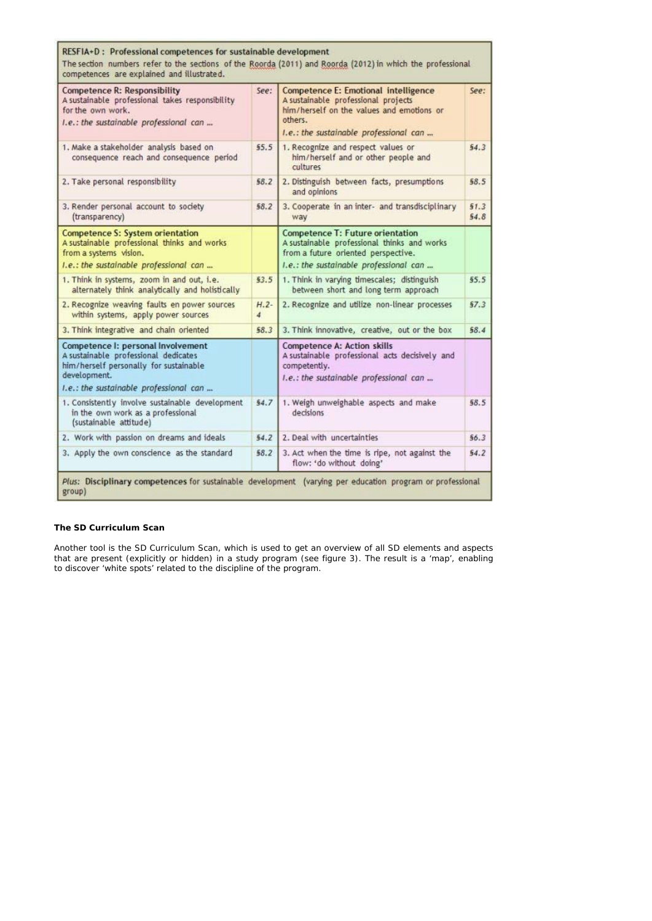| RESFIA+D: Professional competences for sustainable development<br>The section numbers refer to the sections of the Roorda (2011) and Roorda (2012) in which the professional<br>competences are explained and illustrated. |                          |                                                                                                                                                                                      |              |  |  |  |  |  |  |
|----------------------------------------------------------------------------------------------------------------------------------------------------------------------------------------------------------------------------|--------------------------|--------------------------------------------------------------------------------------------------------------------------------------------------------------------------------------|--------------|--|--|--|--|--|--|
| <b>Competence R: Responsibility</b><br>A sustainable professional takes responsibility<br>for the own work.<br>I.e.: the sustainable professional can                                                                      |                          | <b>Competence E: Emotional intelligence</b><br>A sustainable professional projects<br>him/herself on the values and emotions or<br>others.<br>I.e.: the sustainable professional can |              |  |  |  |  |  |  |
| 1. Make a stakeholder analysis based on<br>consequence reach and consequence period                                                                                                                                        |                          | 1. Recognize and respect values or<br>him/herself and or other people and<br>cultures                                                                                                | 54.3         |  |  |  |  |  |  |
| 2. Take personal responsibility                                                                                                                                                                                            | 58.2                     | 2. Distinguish between facts, presumptions<br>and opinions                                                                                                                           | 58.5         |  |  |  |  |  |  |
| 3. Render personal account to society<br>(transparency)                                                                                                                                                                    | \$8.2                    | 3. Cooperate in an inter- and transdisciplinary<br>way                                                                                                                               | 51.3<br>54.8 |  |  |  |  |  |  |
| <b>Competence S: System orientation</b><br>A sustainable professional thinks and works<br>from a systems vision.<br>I.e.: the sustainable professional can                                                                 |                          | Competence T: Future orientation<br>A sustainable professional thinks and works<br>from a future oriented perspective.<br>I.e.: the sustainable professional can                     |              |  |  |  |  |  |  |
| 1. Think in systems, zoom in and out, i.e.<br>alternately think analytically and holistically                                                                                                                              | \$3.5                    | 1. Think in varying timescales; distinguish<br>between short and long term approach                                                                                                  | 55.5         |  |  |  |  |  |  |
| 2. Recognize weaving faults en power sources<br>within systems, apply power sources                                                                                                                                        | $H.2-$<br>$\overline{4}$ | 2. Recognize and utilize non-linear processes                                                                                                                                        | 57.3         |  |  |  |  |  |  |
| 3. Think integrative and chain oriented                                                                                                                                                                                    | 58.3                     | 3. Think innovative, creative, out or the box                                                                                                                                        | 58.4         |  |  |  |  |  |  |
| Competence I: personal Involvement<br>A sustainable professional dedicates<br>him/herself personally for sustainable<br>development.<br>I.e.: the sustainable professional can                                             |                          | <b>Competence A: Action skills</b><br>A sustainable professional acts decisively and<br>competently.<br>I.e.: the sustainable professional can                                       |              |  |  |  |  |  |  |
| 1. Consistently involve sustainable development<br>in the own work as a professional<br>(sustainable attitude)                                                                                                             | 54.7                     | 1. Weigh unweighable aspects and make<br>decisions                                                                                                                                   | 58.5         |  |  |  |  |  |  |
| 2. Work with passion on dreams and ideals                                                                                                                                                                                  | 54.7                     | 2. Deal with uncertainties                                                                                                                                                           | 56.3         |  |  |  |  |  |  |
| 3. Apply the own conscience as the standard                                                                                                                                                                                |                          | 3. Act when the time is ripe, not against the<br>flow: 'do without doing'                                                                                                            | 54.2         |  |  |  |  |  |  |
| Plus: Disciplinary competences for sustainable development (varying per education program or professional<br>group)                                                                                                        |                          |                                                                                                                                                                                      |              |  |  |  |  |  |  |

## **The SD Curriculum Scan**

Another tool is the SD Curriculum Scan, which is used to get an overview of all SD elements and aspects that are present (explicitly or hidden) in a study program (see figure 3). The result is a 'map', enabling to discover 'white spots' related to the discipline of the program.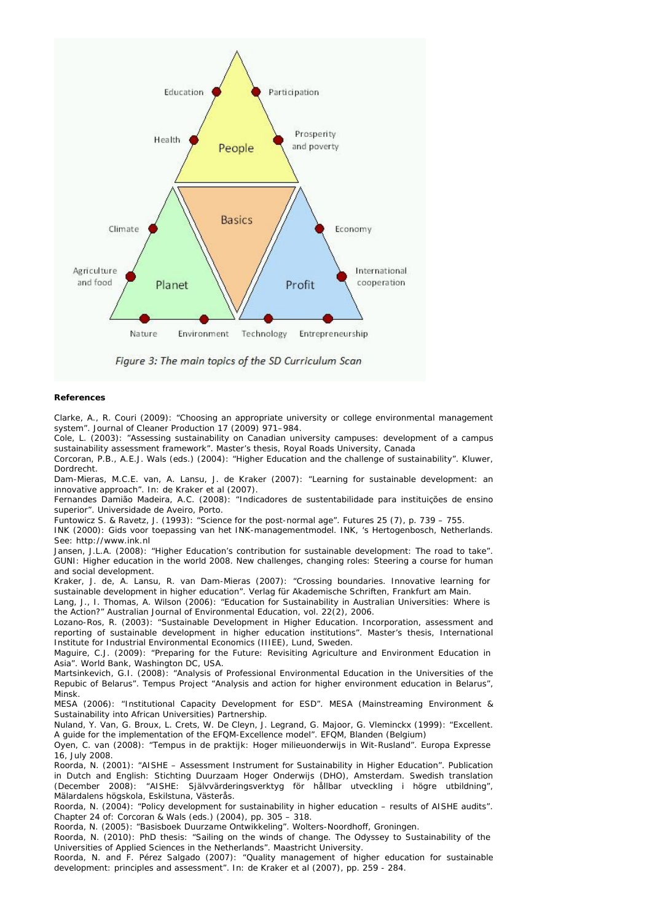

Figure 3: The main topics of the SD Curriculum Scan

#### **References**

Clarke, A., R. Couri (2009): "Choosing an appropriate university or college environmental management system". Journal of Cleaner Production 17 (2009) 971–984.

Cole, L. (2003): "Assessing sustainability on Canadian university campuses: development of a campus sustainability assessment framework". Master's thesis, Royal Roads University, Canada

Corcoran, P.B., A.E.J. Wals (eds.) (2004): "Higher Education and the challenge of sustainability". Kluwer, Dordrecht.

Dam-Mieras, M.C.E. van, A. Lansu, J. de Kraker (2007): "Learning for sustainable development: an innovative approach". In: de Kraker et al (2007).

Fernandes Damião Madeira, A.C. (2008): "Indicadores de sustentabilidade para instituições de ensino superior". Universidade de Aveiro, Porto.

Funtowicz S. & Ravetz, J. (1993): "Science for the post-normal age". Futures 25 (7), p. 739 – 755.

INK (2000): Gids voor toepassing van het INK-managementmodel. INK, 's Hertogenbosch, Netherlands. See: http://www.ink.nl

Jansen, J.L.A. (2008): "Higher Education's contribution for sustainable development: The road to take". GUNI: Higher education in the world 2008. New challenges, changing roles: Steering a course for human and social development.

Kraker, J. de, A. Lansu, R. van Dam-Mieras (2007): "Crossing boundaries. Innovative learning for sustainable development in higher education". Verlag für Akademische Schriften, Frankfurt am Main.

Lang, J., I. Thomas, A. Wilson (2006): "Education for Sustainability in Australian Universities: Where is the Action?" Australian Journal of Environmental Education, vol. 22(2), 2006.

Lozano-Ros, R. (2003): "Sustainable Development in Higher Education. Incorporation, assessment and reporting of sustainable development in higher education institutions". Master's thesis, International Institute for Industrial Environmental Economics (IIIEE), Lund, Sweden.

Maguire, C.J. (2009): "Preparing for the Future: Revisiting Agriculture and Environment Education in Asia". World Bank, Washington DC, USA.

Martsinkevich, G.I. (2008): "Analysis of Professional Environmental Education in the Universities of the Repubic of Belarus". Tempus Project "Analysis and action for higher environment education in Belarus", Minsk.

MESA (2006): "Institutional Capacity Development for ESD". MESA (Mainstreaming Environment & Sustainability into African Universities) Partnership.

Nuland, Y. Van, G. Broux, L. Crets, W. De Cleyn, J. Legrand, G. Majoor, G. Vleminckx (1999): "Excellent. A guide for the implementation of the EFQM-Excellence model". EFQM, Blanden (Belgium)

Oyen, C. van (2008): "Tempus in de praktijk: Hoger milieuonderwijs in Wit-Rusland". Europa Expresse 16, July 2008.

Roorda, N. (2001): "AISHE – Assessment Instrument for Sustainability in Higher Education". Publication in Dutch and English: Stichting Duurzaam Hoger Onderwijs (DHO), Amsterdam. Swedish translation (December 2008): "AISHE: Självvärderingsverktyg för hållbar utveckling i högre utbildning", Mälardalens högskola, Eskilstuna, Västerås.

Roorda, N. (2004): "Policy development for sustainability in higher education – results of AISHE audits". Chapter 24 of: Corcoran & Wals (eds.) (2004), pp. 305 – 318.

Roorda, N. (2005): "Basisboek Duurzame Ontwikkeling". Wolters-Noordhoff, Groningen.

Roorda, N. (2010): PhD thesis: "Sailing on the winds of change. The Odyssey to Sustainability of the Universities of Applied Sciences in the Netherlands". Maastricht University.

Roorda, N. and F. Pérez Salgado (2007): "Quality management of higher education for sustainable development: principles and assessment". In: de Kraker et al (2007), pp. 259 - 284.